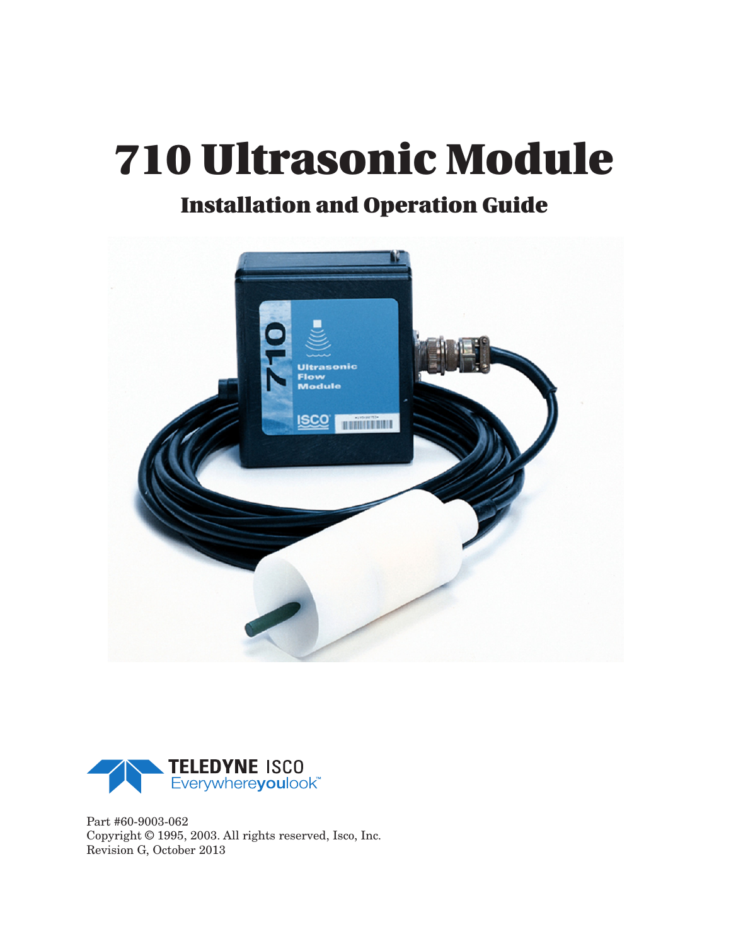## **Installation and Operation Guide**





Part #60-9003-062 Copyright © 1995, 2003. All rights reserved, Isco, Inc. Revision G, October 2013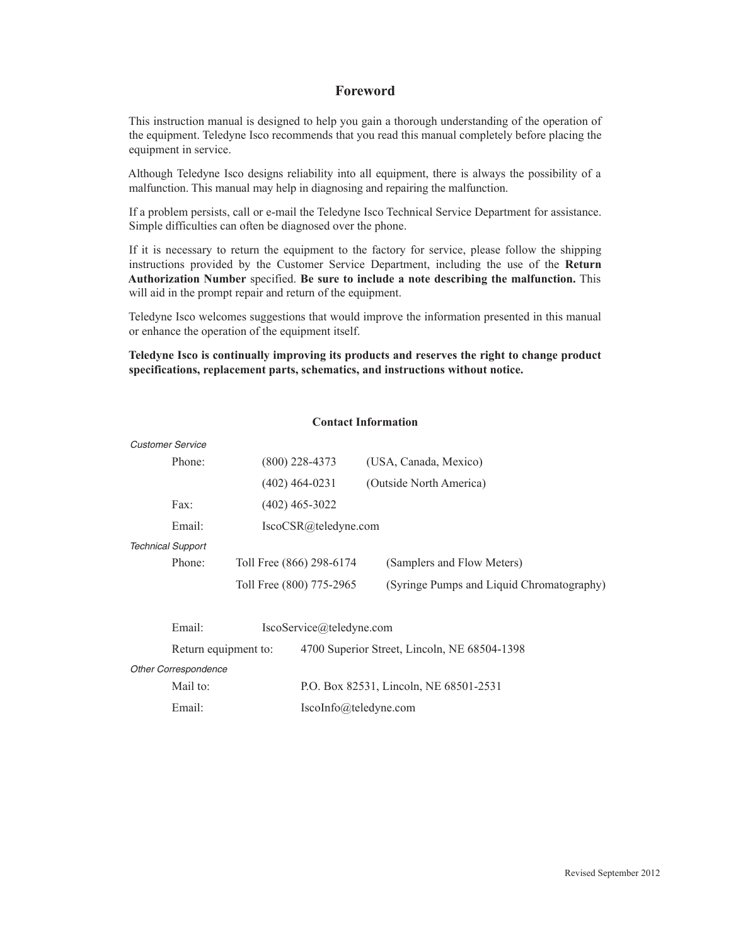### **Foreword**

This instruction manual is designed to help you gain a thorough understanding of the operation of the equipment. Teledyne Isco recommends that you read this manual completely before placing the equipment in service.

Although Teledyne Isco designs reliability into all equipment, there is always the possibility of a malfunction. This manual may help in diagnosing and repairing the malfunction.

If a problem persists, call or e-mail the Teledyne Isco Technical Service Department for assistance. Simple difficulties can often be diagnosed over the phone.

If it is necessary to return the equipment to the factory for service, please follow the shipping instructions provided by the Customer Service Department, including the use of the **Return Authorization Number** specified. **Be sure to include a note describing the malfunction.** This will aid in the prompt repair and return of the equipment.

Teledyne Isco welcomes suggestions that would improve the information presented in this manual or enhance the operation of the equipment itself.

**Teledyne Isco is continually improving its products and reserves the right to change product specifications, replacement parts, schematics, and instructions without notice.** 

|                             | <b>Customer Service</b>  |                       |                          |                                              |
|-----------------------------|--------------------------|-----------------------|--------------------------|----------------------------------------------|
|                             | Phone:                   |                       | $(800)$ 228-4373         | (USA, Canada, Mexico)                        |
|                             |                          |                       | $(402)$ 464-0231         | (Outside North America)                      |
|                             | $\text{Fax}:$            |                       | $(402)$ 465-3022         |                                              |
|                             | Email:                   |                       | IscoCSR@teledyne.com     |                                              |
|                             | <b>Technical Support</b> |                       |                          |                                              |
|                             | Phone:                   |                       | Toll Free (866) 298-6174 | (Samplers and Flow Meters)                   |
|                             |                          |                       | Toll Free (800) 775-2965 | (Syringe Pumps and Liquid Chromatography)    |
|                             | Email:                   |                       | IscoService@teledyne.com |                                              |
|                             | Return equipment to:     |                       |                          | 4700 Superior Street, Lincoln, NE 68504-1398 |
| <b>Other Correspondence</b> |                          |                       |                          |                                              |
|                             | Mail to:                 |                       |                          | P.O. Box 82531, Lincoln, NE 68501-2531       |
| Email:                      |                          | IscoInfo@teledyne.com |                          |                                              |

### **Contact Information**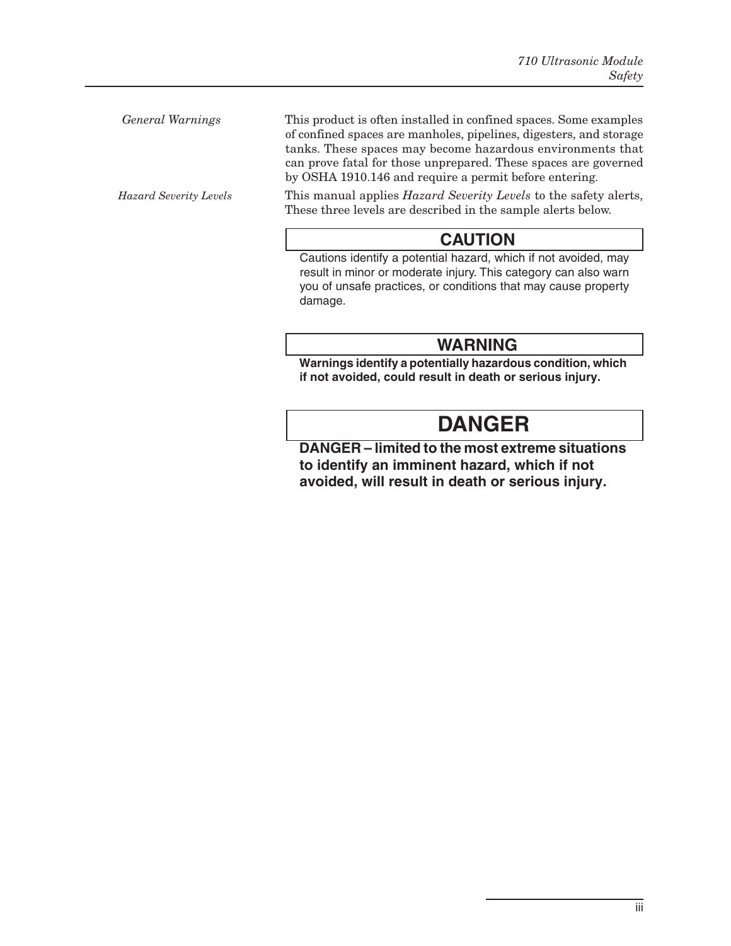*General Warnings* This product is often installed in confined spaces. Some examples of confined spaces are manholes, pipelines, digesters, and storage tanks. These spaces may become hazardous environments that can prove fatal for those unprepared. These spaces are governed by OSHA 1910.146 and require a permit before entering.

*Hazard Severity Levels* This manual applies *Hazard Severity Levels* to the safety alerts, These three levels are described in the sample alerts below.

### **CAUTION**

Cautions identify a potential hazard, which if not avoided, may result in minor or moderate injury. This category can also warn you of unsafe practices, or conditions that may cause property damage.

## **WARNING**

**Warnings identify a potentially hazardous condition, which if not avoided, could result in death or serious injury.**

## **DANGER**

**DANGER – limited to the most extreme situations to identify an imminent hazard, which if not avoided, will result in death or serious injury.**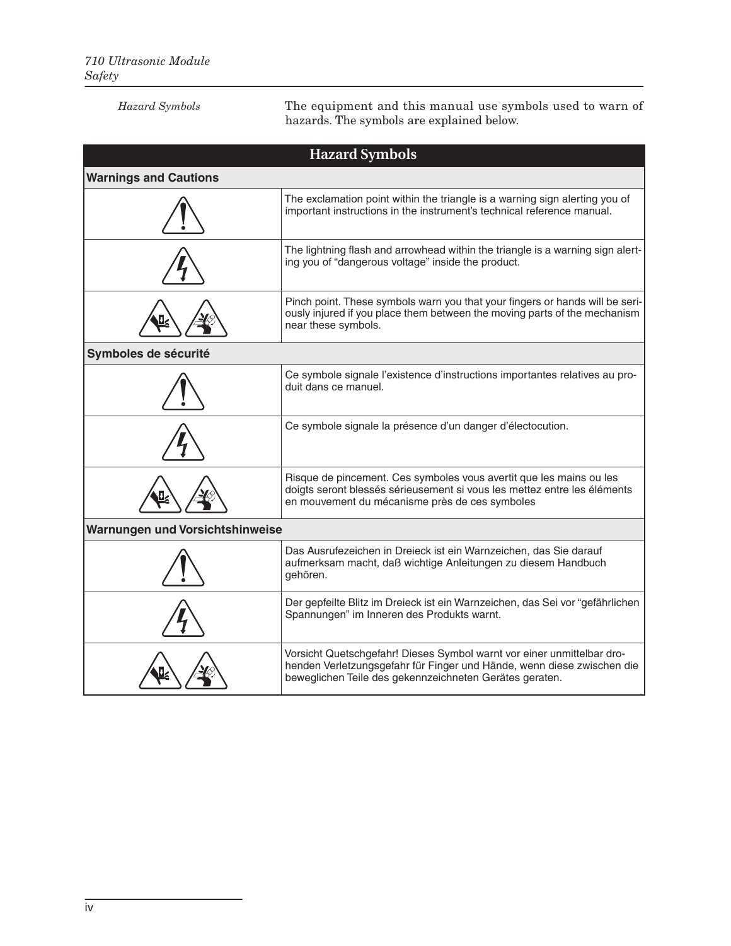| <b>Hazard Symbols</b>           | The equipment and this manual use symbols used to warn of<br>hazards. The symbols are explained below.                                                                                                      |  |
|---------------------------------|-------------------------------------------------------------------------------------------------------------------------------------------------------------------------------------------------------------|--|
|                                 | <b>Hazard Symbols</b>                                                                                                                                                                                       |  |
| <b>Warnings and Cautions</b>    |                                                                                                                                                                                                             |  |
|                                 | The exclamation point within the triangle is a warning sign alerting you of<br>important instructions in the instrument's technical reference manual.                                                       |  |
|                                 | The lightning flash and arrowhead within the triangle is a warning sign alert-<br>ing you of "dangerous voltage" inside the product.                                                                        |  |
|                                 | Pinch point. These symbols warn you that your fingers or hands will be seri-<br>ously injured if you place them between the moving parts of the mechanism<br>near these symbols.                            |  |
| Symboles de sécurité            |                                                                                                                                                                                                             |  |
|                                 | Ce symbole signale l'existence d'instructions importantes relatives au pro-<br>duit dans ce manuel.                                                                                                         |  |
|                                 | Ce symbole signale la présence d'un danger d'électocution.                                                                                                                                                  |  |
|                                 | Risque de pincement. Ces symboles vous avertit que les mains ou les<br>doigts seront blessés sérieusement si vous les mettez entre les éléments<br>en mouvement du mécanisme près de ces symboles           |  |
| Warnungen und Vorsichtshinweise |                                                                                                                                                                                                             |  |
|                                 | Das Ausrufezeichen in Dreieck ist ein Warnzeichen, das Sie darauf<br>aufmerksam macht, daß wichtige Anleitungen zu diesem Handbuch<br>gehören.                                                              |  |
|                                 | Der gepfeilte Blitz im Dreieck ist ein Warnzeichen, das Sei vor "gefährlichen<br>Spannungen" im Inneren des Produkts warnt.                                                                                 |  |
|                                 | Vorsicht Quetschgefahr! Dieses Symbol warnt vor einer unmittelbar dro-<br>henden Verletzungsgefahr für Finger und Hände, wenn diese zwischen die<br>beweglichen Teile des gekennzeichneten Gerätes geraten. |  |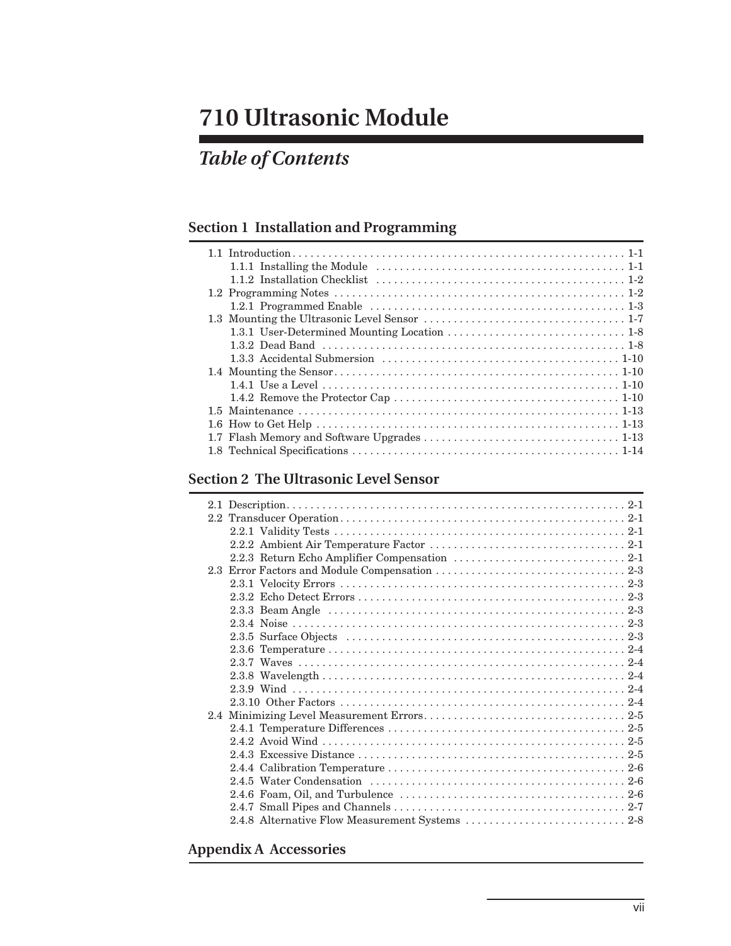## *Table of Contents*

## **[Section 1 Installation and Programming](#page-8-0)**

### **[Section 2 The Ultrasonic Level Sensor](#page-22-0)**

### **[Appendix A Accessories](#page-30-0)**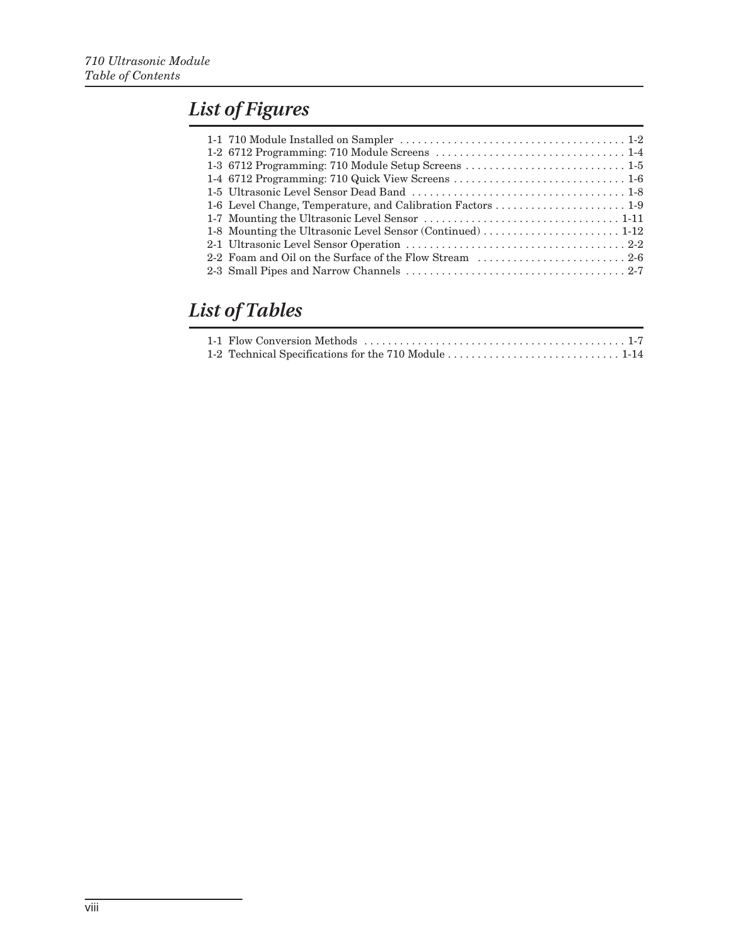## *List of Figures*

## *List of Tables*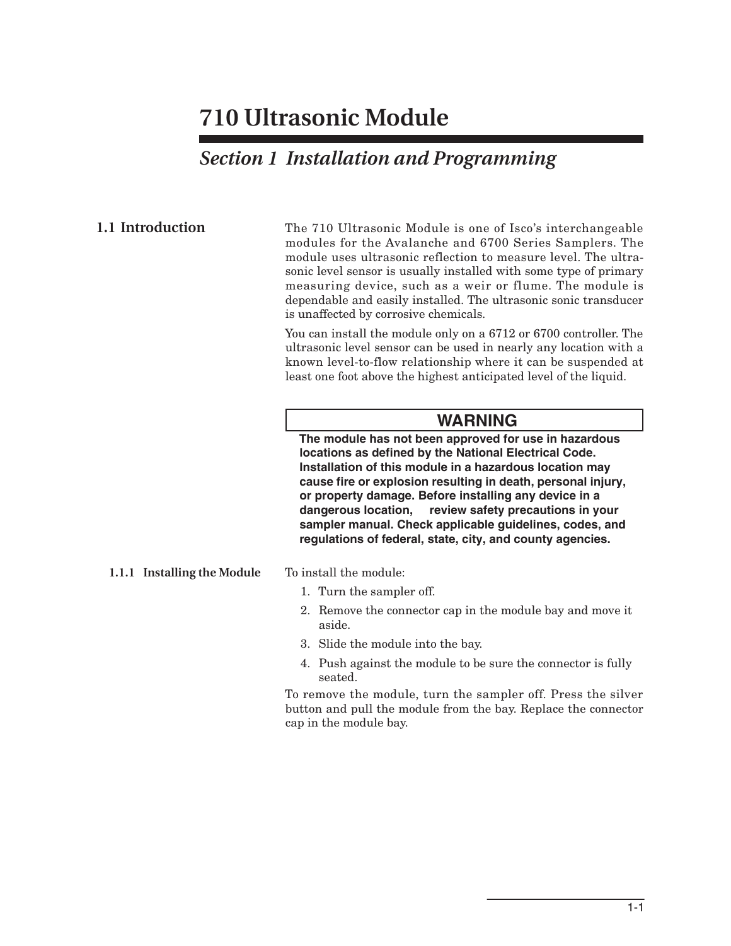## *Section 1 Installation and Programming*

<span id="page-8-1"></span><span id="page-8-0"></span>**1.1 Introduction** The 710 Ultrasonic Module is one of Isco's interchangeable modules for the Avalanche and 6700 Series Samplers. The module uses ultrasonic reflection to measure level. The ultrasonic level sensor is usually installed with some type of primary measuring device, such as a weir or flume. The module is dependable and easily installed. The ultrasonic sonic transducer is unaffected by corrosive chemicals.

> You can install the module only on a 6712 or 6700 controller. The ultrasonic level sensor can be used in nearly any location with a known level-to-flow relationship where it can be suspended at least one foot above the highest anticipated level of the liquid.

### **WARNING**

**The module has not been approved for use in hazardous locations as defined by the National Electrical Code. Installation of this module in a hazardous location may cause fire or explosion resulting in death, personal injury, or property damage. Before installing any device in a dangerous location, review safety precautions in your sampler manual. Check applicable guidelines, codes, and regulations of federal, state, city, and county agencies.**

### <span id="page-8-2"></span>**1.1.1 Installing the Module** To install the module:

- 1. Turn the sampler off.
- 2. Remove the connector cap in the module bay and move it aside.
- 3. Slide the module into the bay.
- 4. Push against the module to be sure the connector is fully seated.

To remove the module, turn the sampler off. Press the silver button and pull the module from the bay. Replace the connector cap in the module bay.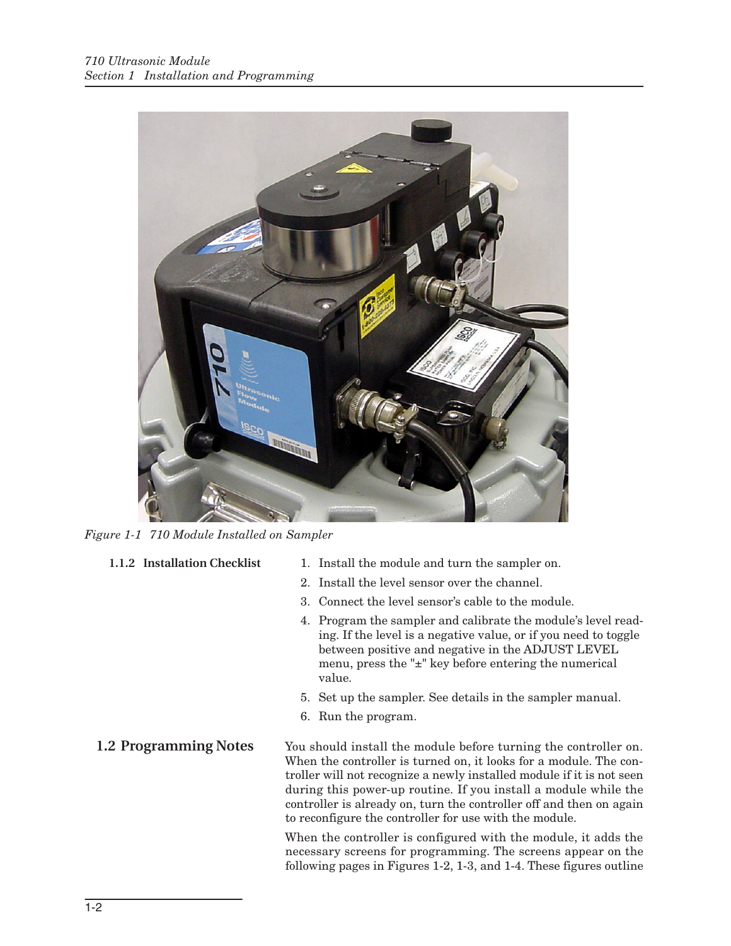

*Figure 1-1 710 Module Installed on Sampler*

- <span id="page-9-2"></span><span id="page-9-0"></span>
- **1.1.2 Installation Checklist** 1. Install the module and turn the sampler on.
	- 2. Install the level sensor over the channel.
	- 3. Connect the level sensor's cable to the module.
	- 4. Program the sampler and calibrate the module's level reading. If the level is a negative value, or if you need to toggle between positive and negative in the ADJUST LEVEL menu, press the "±" key before entering the numerical value.
	- 5. Set up the sampler. See details in the sampler manual.
	- 6. Run the program.

<span id="page-9-1"></span>**1.2 Programming Notes** You should install the module before turning the controller on. When the controller is turned on, it looks for a module. The controller will not recognize a newly installed module if it is not seen during this power-up routine. If you install a module while the controller is already on, turn the controller off and then on again to reconfigure the controller for use with the module.

> When the controller is configured with the module, it adds the necessary screens for programming. The screens appear on the following pages in Figures [1-2](#page-11-0), [1-3,](#page-12-0) and [1-4.](#page-13-0) These figures outline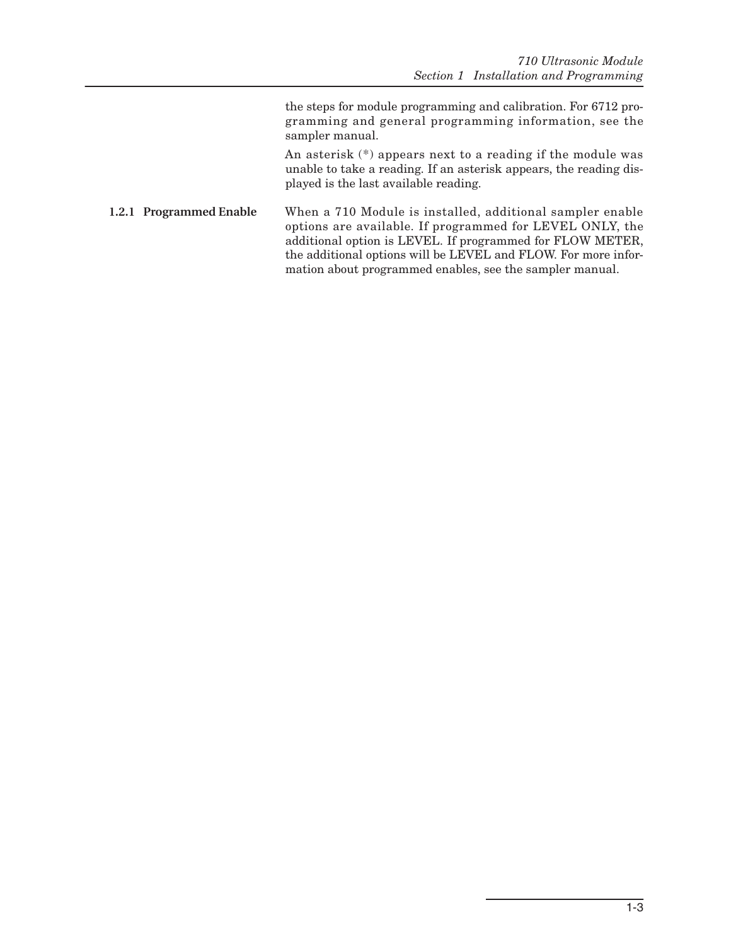the steps for module programming and calibration. For 6712 programming and general programming information, see the sampler manual.

An asterisk (\*) appears next to a reading if the module was unable to take a reading. If an asterisk appears, the reading displayed is the last available reading.

<span id="page-10-0"></span>**1.2.1 Programmed Enable** When a 710 Module is installed, additional sampler enable options are available. If programmed for LEVEL ONLY, the additional option is LEVEL. If programmed for FLOW METER, the additional options will be LEVEL and FLOW. For more information about programmed enables, see the sampler manual.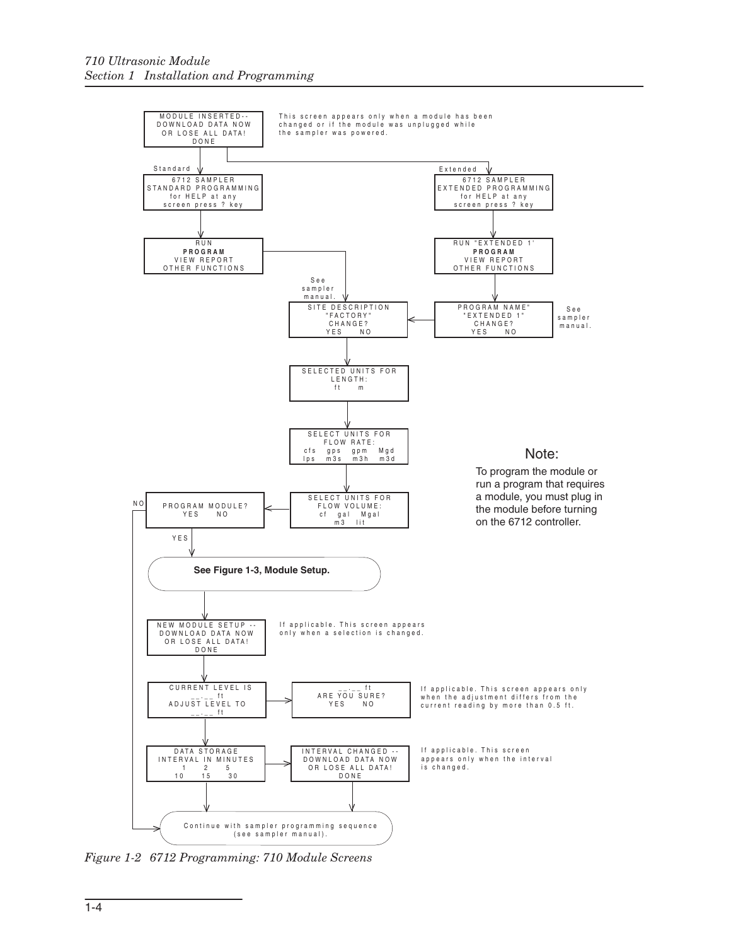

<span id="page-11-0"></span>*Figure 1-2 6712 Programming: 710 Module Screens*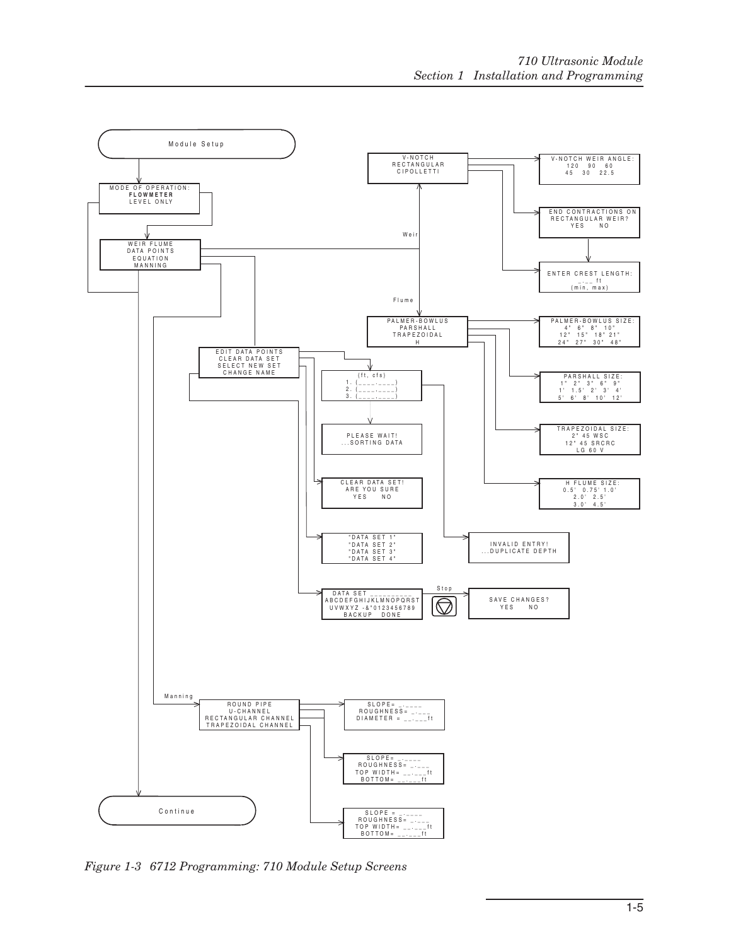

<span id="page-12-0"></span>*Figure 1-3 6712 Programming: 710 Module Setup Screens*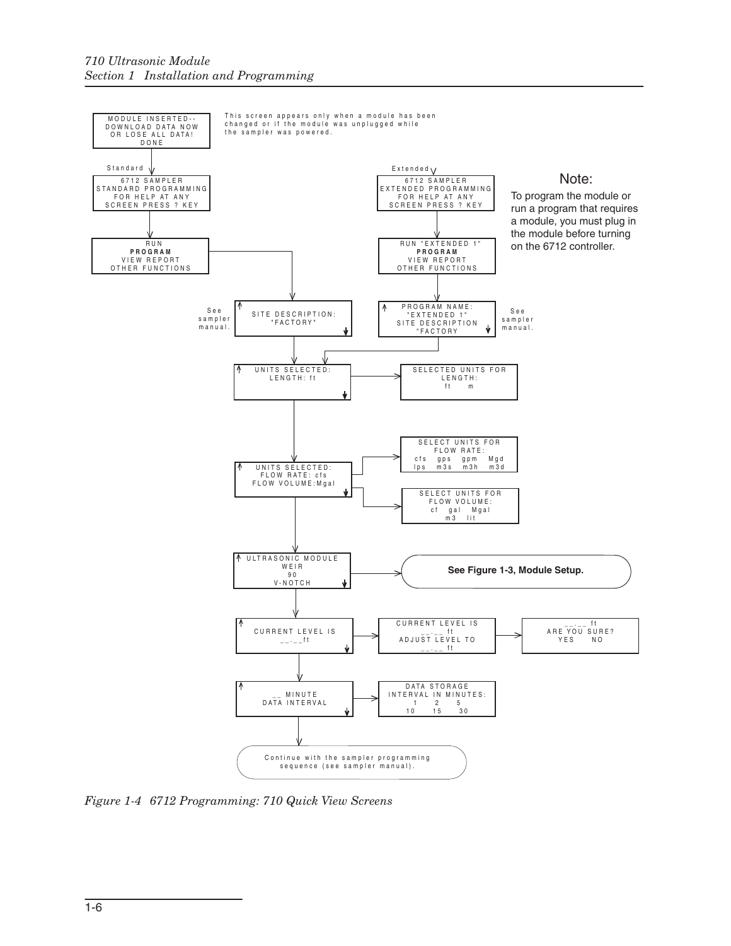

<span id="page-13-0"></span>*Figure 1-4 6712 Programming: 710 Quick View Screens*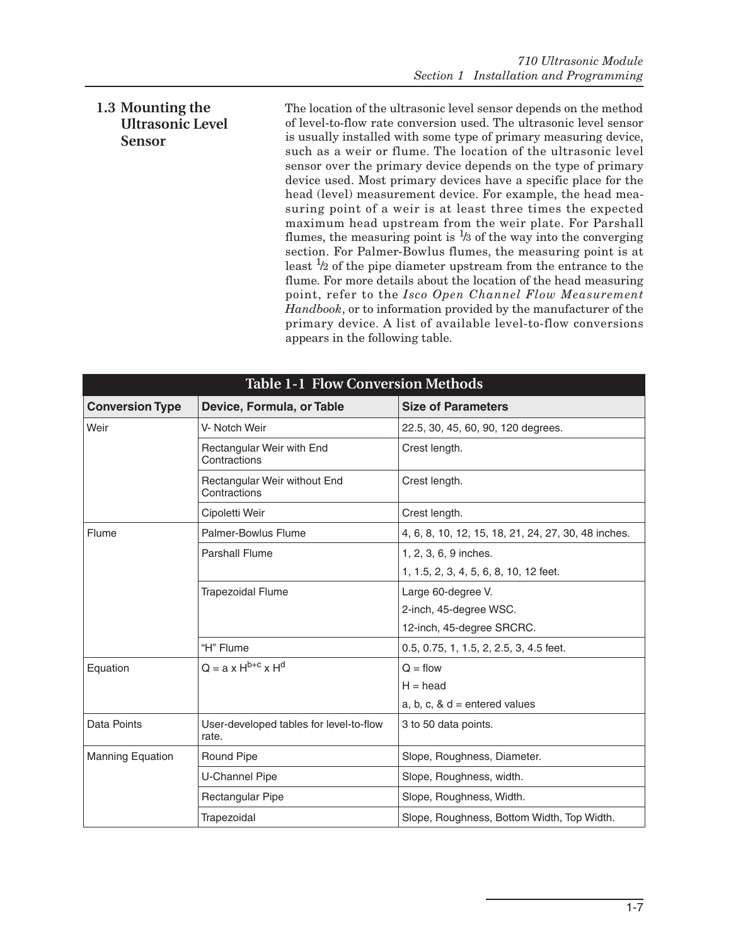### <span id="page-14-0"></span>**1.3 Mounting the Ultrasonic Level Sensor**

The location of the ultrasonic level sensor depends on the method of level-to-flow rate conversion used. The ultrasonic level sensor is usually installed with some type of primary measuring device, such as a weir or flume. The location of the ultrasonic level sensor over the primary device depends on the type of primary device used. Most primary devices have a specific place for the head (level) measurement device. For example, the head measuring point of a weir is at least three times the expected maximum head upstream from the weir plate. For Parshall flumes, the measuring point is  $\frac{1}{3}$  of the way into the converging section. For Palmer-Bowlus flumes, the measuring point is at least  $\frac{1}{2}$  of the pipe diameter upstream from the entrance to the flume. For more details about the location of the head measuring point, refer to the *Isco Open Channel Flow Measurement Handbook*, or to information provided by the manufacturer of the primary device. A list of available level-to-flow conversions appears in the following table.

<span id="page-14-1"></span>

| <b>Table 1-1 Flow Conversion Methods</b> |                                                  |                                                                           |  |
|------------------------------------------|--------------------------------------------------|---------------------------------------------------------------------------|--|
| <b>Conversion Type</b>                   | Device, Formula, or Table                        | <b>Size of Parameters</b>                                                 |  |
| Weir                                     | V- Notch Weir                                    | 22.5, 30, 45, 60, 90, 120 degrees.                                        |  |
|                                          | Rectangular Weir with End<br>Contractions        | Crest length.                                                             |  |
|                                          | Rectangular Weir without End<br>Contractions     | Crest length.                                                             |  |
|                                          | Cipoletti Weir                                   | Crest length.                                                             |  |
| Flume                                    | Palmer-Bowlus Flume                              | 4, 6, 8, 10, 12, 15, 18, 21, 24, 27, 30, 48 inches.                       |  |
|                                          | <b>Parshall Flume</b>                            | 1, 2, 3, 6, 9 inches.<br>1, 1.5, 2, 3, 4, 5, 6, 8, 10, 12 feet.           |  |
|                                          | <b>Trapezoidal Flume</b>                         | Large 60-degree V.<br>2-inch, 45-degree WSC.<br>12-inch, 45-degree SRCRC. |  |
|                                          | "H" Flume                                        | 0.5, 0.75, 1, 1.5, 2, 2.5, 3, 4.5 feet.                                   |  |
| Equation                                 | $Q = a \times H^{b+c} \times H^d$                | $Q = flow$<br>$H = head$<br>a, b, c, $\&$ d = entered values              |  |
| Data Points                              | User-developed tables for level-to-flow<br>rate. | 3 to 50 data points.                                                      |  |
| <b>Manning Equation</b>                  | <b>Round Pipe</b>                                | Slope, Roughness, Diameter.                                               |  |
|                                          | <b>U-Channel Pipe</b>                            | Slope, Roughness, width.                                                  |  |
|                                          | Rectangular Pipe                                 | Slope, Roughness, Width.                                                  |  |
|                                          | Trapezoidal                                      | Slope, Roughness, Bottom Width, Top Width.                                |  |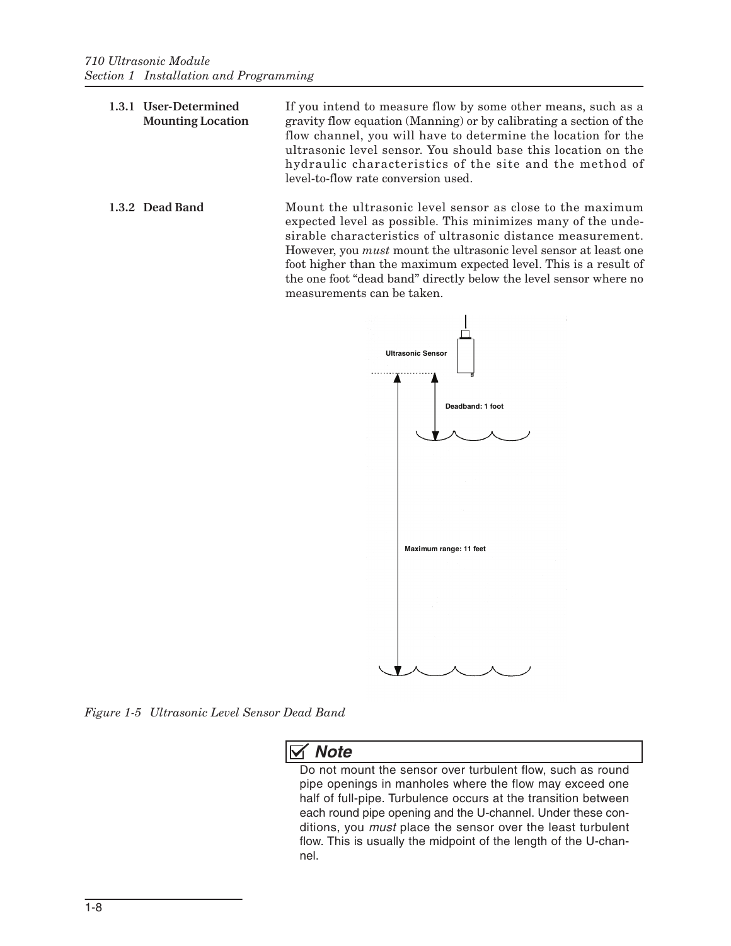- <span id="page-15-0"></span>**1.3.1 User-Determined Mounting Location** If you intend to measure flow by some other means, such as a gravity flow equation (Manning) or by calibrating a section of the flow channel, you will have to determine the location for the ultrasonic level sensor. You should base this location on the hydraulic characteristics of the site and the method of level-to-flow rate conversion used.
- <span id="page-15-1"></span>**1.3.2 Dead Band** Mount the ultrasonic level sensor as close to the maximum expected level as possible. This minimizes many of the undesirable characteristics of ultrasonic distance measurement. However, you *must* mount the ultrasonic level sensor at least one foot higher than the maximum expected level. This is a result of the one foot "dead band" directly below the level sensor where no measurements can be taken.



<span id="page-15-2"></span>*Figure 1-5 Ultrasonic Level Sensor Dead Band*

### *Note*

Do not mount the sensor over turbulent flow, such as round pipe openings in manholes where the flow may exceed one half of full-pipe. Turbulence occurs at the transition between each round pipe opening and the U-channel. Under these conditions, you *must* place the sensor over the least turbulent flow. This is usually the midpoint of the length of the U-channel.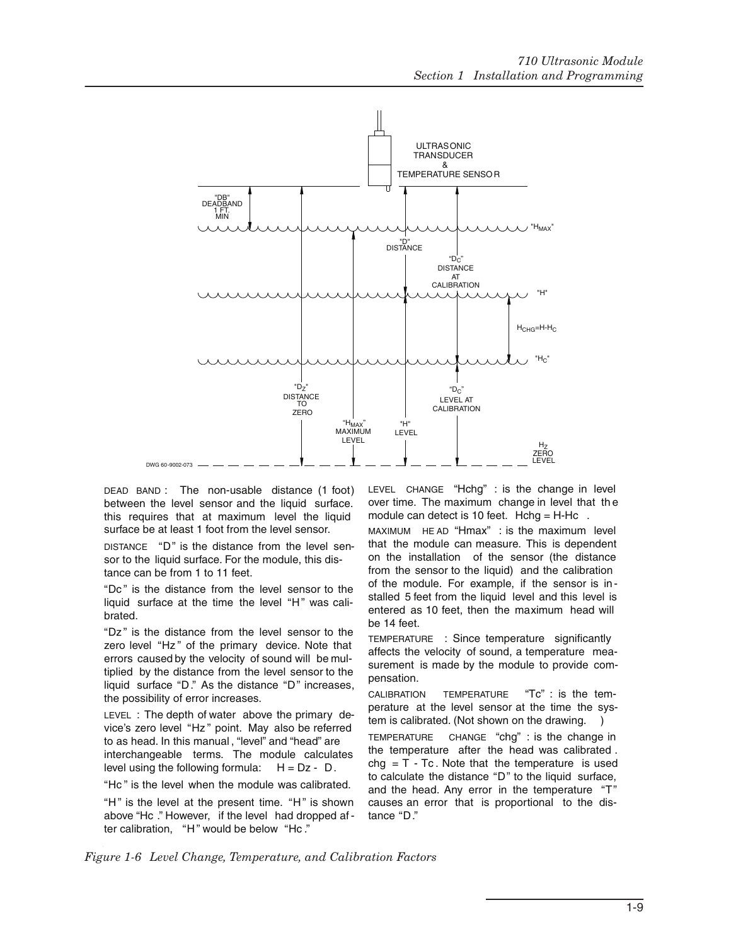

DEAD BAND : The non-usable distance (1 foot) between the level sensor and the liquid surface. this requires that at maximum level the liquid surface be at least 1 foot from the level sensor.

DISTANCE "D" is the distance from the level sensor to the liquid surface. For the module, this distance can be from 1 to 11 feet.

"Dc " is the distance from the level sensor to the liquid surface at the time the level "H" was calibrated.

"Dz" is the distance from the level sensor to the zero level "Hz" of the primary device. Note that errors caused by the velocity of sound will be multiplied by the distance from the level sensor to the liquid surface "D." As the distance "D" increases, the possibility of error increases.

LEVEL : The depth of water above the primary device's zero level "Hz " point. May also be referred to as head. In this manual , "level" and "head" are interchangeable terms. The module calculates level using the following formula:  $H = Dz - D$ .

"Hc " is the level when the module was calibrated.

"H" is the level at the present time. "H" is shown above "Hc ." However, if the level had dropped af ter calibration, "H" would be below "Hc."

LEVEL CHANGE "Hchg" : is the change in level over time. The maximum change in level that th e module can detect is 10 feet. Hchg =  $H-Hc$ .

MAXIMUM HE AD "Hmax" : is the maximum level that the module can measure. This is dependent on the installation of the sensor (the distance from the sensor to the liquid) and the calibration of the module. For example, if the sensor is in stalled 5 feet from the liquid level and this level is entered as 10 feet, then the maximum head will be 14 feet.

TEMPERATURE : Since temperature significantly affects the velocity of sound, a temperature measurement is made by the module to provide compensation.

CALIBRATION TEMPERATURE "Tc" : is the temperature at the level sensor at the time the system is calibrated. (Not shown on the drawing.

TEMPERATURE CHANGE "chg" : is the change in the temperature after the head was calibrated .  $chg = T - Tc$ . Note that the temperature is used to calculate the distance "D" to the liquid surface, and the head. Any error in the temperature "T" causes an error that is proportional to the distance "D."

<span id="page-16-0"></span>*Figure 1-6 Level Change, Temperature, and Calibration Factors*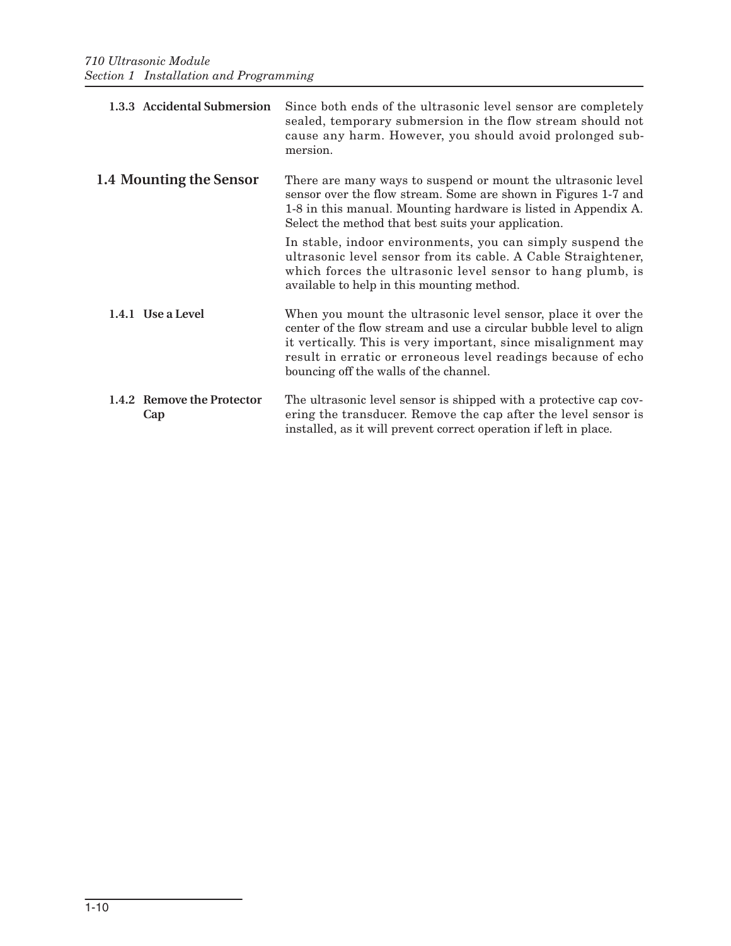<span id="page-17-3"></span><span id="page-17-2"></span><span id="page-17-1"></span><span id="page-17-0"></span>

| 1.3.3 Accidental Submersion       | Since both ends of the ultrasonic level sensor are completely<br>sealed, temporary submersion in the flow stream should not<br>cause any harm. However, you should avoid prolonged sub-<br>mersion.                                                                                                             |
|-----------------------------------|-----------------------------------------------------------------------------------------------------------------------------------------------------------------------------------------------------------------------------------------------------------------------------------------------------------------|
| 1.4 Mounting the Sensor           | There are many ways to suspend or mount the ultrasonic level<br>sensor over the flow stream. Some are shown in Figures 1-7 and<br>1-8 in this manual. Mounting hardware is listed in Appendix A.<br>Select the method that best suits your application.                                                         |
|                                   | In stable, indoor environments, you can simply suspend the<br>ultrasonic level sensor from its cable. A Cable Straightener,<br>which forces the ultrasonic level sensor to hang plumb, is<br>available to help in this mounting method.                                                                         |
| 1.4.1 Use a Level                 | When you mount the ultrasonic level sensor, place it over the<br>center of the flow stream and use a circular bubble level to align<br>it vertically. This is very important, since misalignment may<br>result in erratic or erroneous level readings because of echo<br>bouncing off the walls of the channel. |
| 1.4.2 Remove the Protector<br>Cap | The ultrasonic level sensor is shipped with a protective cap cov-<br>ering the transducer. Remove the cap after the level sensor is<br>installed, as it will prevent correct operation if left in place.                                                                                                        |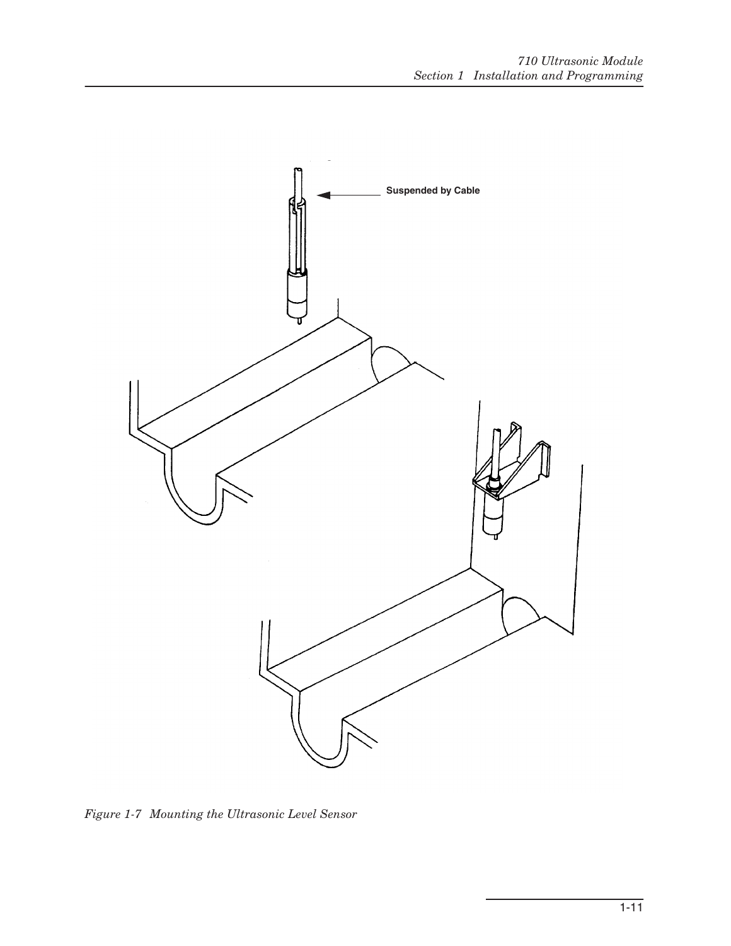

<span id="page-18-0"></span>*Figure 1-7 Mounting the Ultrasonic Level Sensor*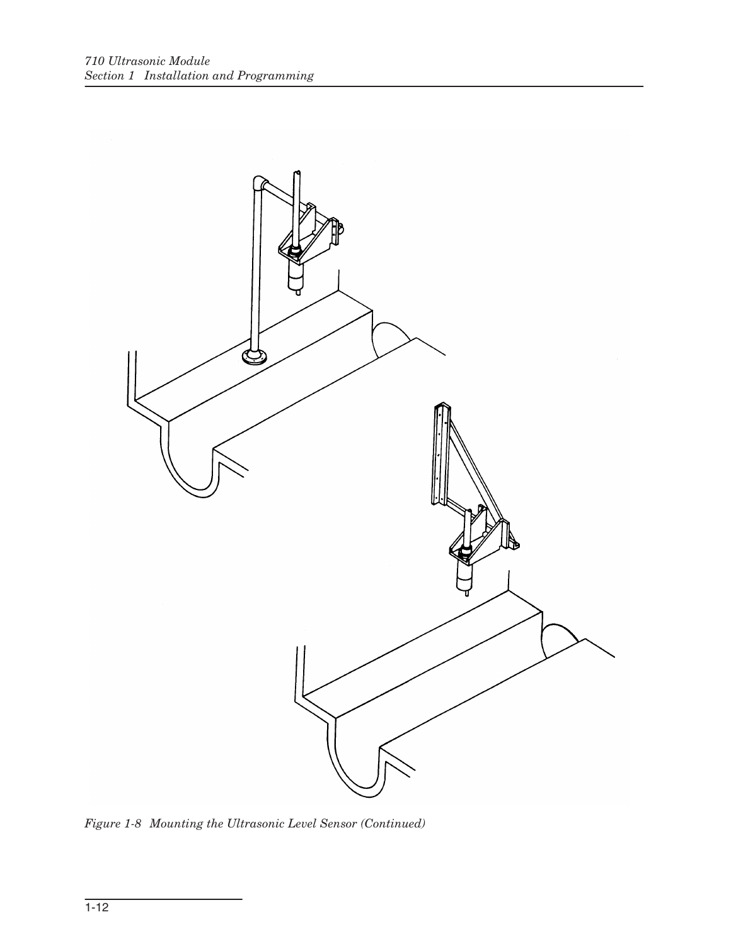<span id="page-19-0"></span>

*Figure 1-8 Mounting the Ultrasonic Level Sensor (Continued)*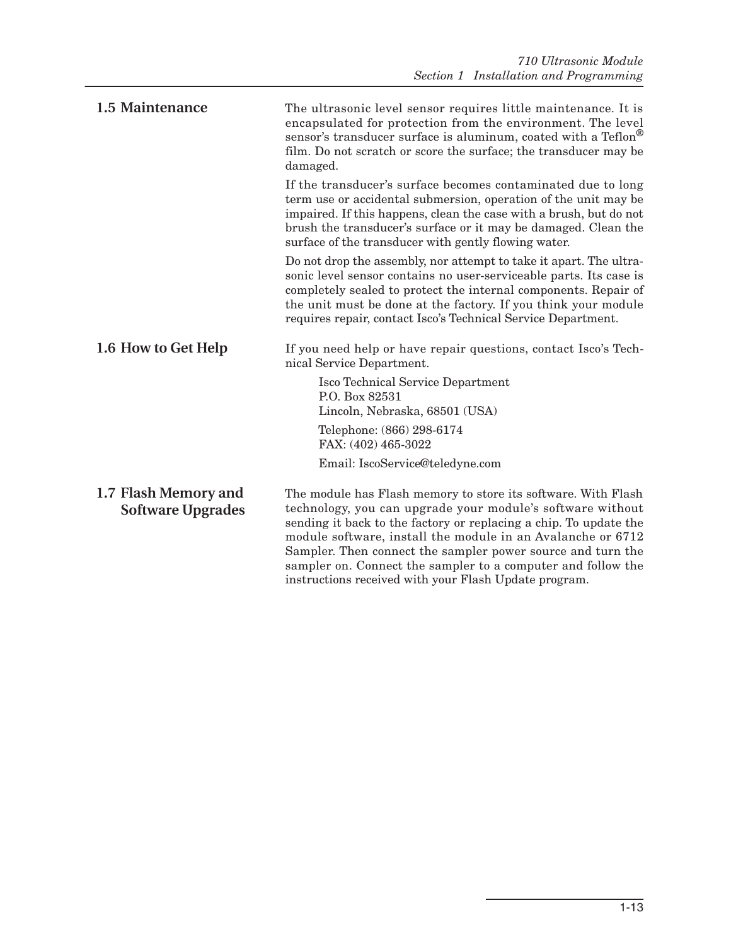<span id="page-20-2"></span><span id="page-20-1"></span><span id="page-20-0"></span>

| 1.5 Maintenance                                  | The ultrasonic level sensor requires little maintenance. It is<br>encapsulated for protection from the environment. The level<br>sensor's transducer surface is aluminum, coated with a Teflon®<br>film. Do not scratch or score the surface; the transducer may be<br>damaged.                                                                                                                                                                         |
|--------------------------------------------------|---------------------------------------------------------------------------------------------------------------------------------------------------------------------------------------------------------------------------------------------------------------------------------------------------------------------------------------------------------------------------------------------------------------------------------------------------------|
|                                                  | If the transducer's surface becomes contaminated due to long<br>term use or accidental submersion, operation of the unit may be<br>impaired. If this happens, clean the case with a brush, but do not<br>brush the transducer's surface or it may be damaged. Clean the<br>surface of the transducer with gently flowing water.                                                                                                                         |
|                                                  | Do not drop the assembly, nor attempt to take it apart. The ultra-<br>sonic level sensor contains no user-serviceable parts. Its case is<br>completely sealed to protect the internal components. Repair of<br>the unit must be done at the factory. If you think your module<br>requires repair, contact Isco's Technical Service Department.                                                                                                          |
| 1.6 How to Get Help                              | If you need help or have repair questions, contact Isco's Tech-<br>nical Service Department.                                                                                                                                                                                                                                                                                                                                                            |
|                                                  | <b>Isco Technical Service Department</b><br>P.O. Box 82531<br>Lincoln, Nebraska, 68501 (USA)                                                                                                                                                                                                                                                                                                                                                            |
|                                                  | Telephone: (866) 298-6174<br>FAX: (402) 465-3022                                                                                                                                                                                                                                                                                                                                                                                                        |
|                                                  | Email: IscoService@teledyne.com                                                                                                                                                                                                                                                                                                                                                                                                                         |
| 1.7 Flash Memory and<br><b>Software Upgrades</b> | The module has Flash memory to store its software. With Flash<br>technology, you can upgrade your module's software without<br>sending it back to the factory or replacing a chip. To update the<br>module software, install the module in an Avalanche or 6712<br>Sampler. Then connect the sampler power source and turn the<br>sampler on. Connect the sampler to a computer and follow the<br>instructions received with your Flash Update program. |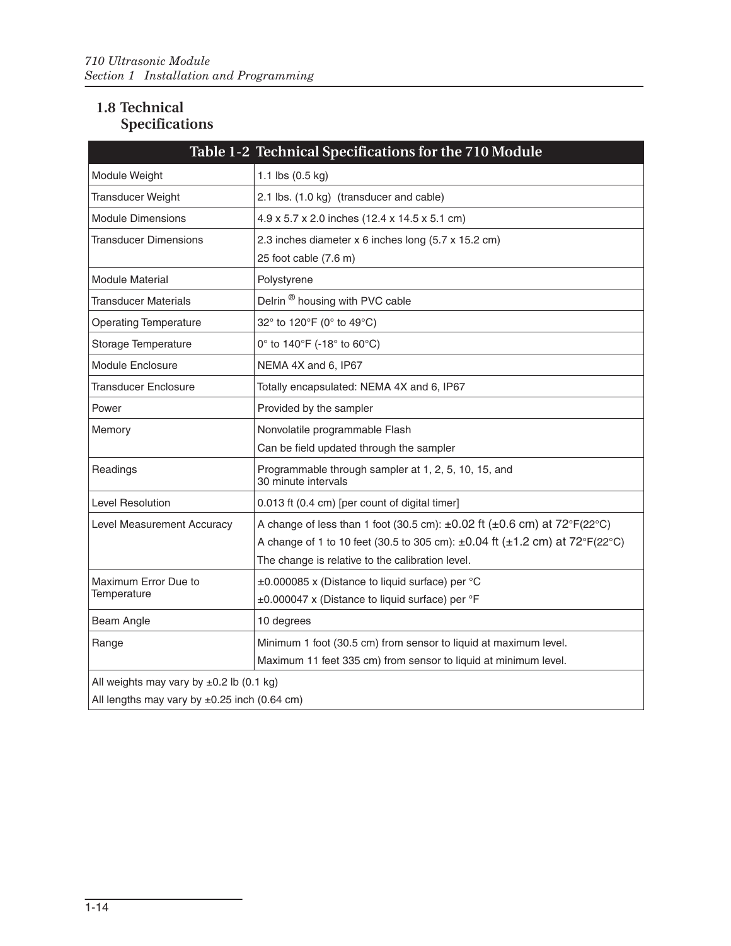### <span id="page-21-0"></span>**1.8 Technical Specifications**

<span id="page-21-1"></span>

|                                                   | Table 1-2 Technical Specifications for the 710 Module                                               |  |
|---------------------------------------------------|-----------------------------------------------------------------------------------------------------|--|
| Module Weight                                     | 1.1 lbs $(0.5 \text{ kg})$                                                                          |  |
| <b>Transducer Weight</b>                          | 2.1 lbs. (1.0 kg) (transducer and cable)                                                            |  |
| <b>Module Dimensions</b>                          | 4.9 x 5.7 x 2.0 inches (12.4 x 14.5 x 5.1 cm)                                                       |  |
| Transducer Dimensions                             | 2.3 inches diameter x 6 inches long (5.7 x 15.2 cm)                                                 |  |
|                                                   | 25 foot cable (7.6 m)                                                                               |  |
| Module Material                                   | Polystyrene                                                                                         |  |
| Transducer Materials                              | Delrin <sup>®</sup> housing with PVC cable                                                          |  |
| <b>Operating Temperature</b>                      | 32° to 120°F (0° to 49°C)                                                                           |  |
| Storage Temperature                               | 0° to 140°F (-18° to 60°C)                                                                          |  |
| Module Enclosure                                  | NEMA 4X and 6, IP67                                                                                 |  |
| <b>Transducer Enclosure</b>                       | Totally encapsulated: NEMA 4X and 6, IP67                                                           |  |
| Power                                             | Provided by the sampler                                                                             |  |
| Memory                                            | Nonvolatile programmable Flash                                                                      |  |
|                                                   | Can be field updated through the sampler                                                            |  |
| Readings                                          | Programmable through sampler at 1, 2, 5, 10, 15, and<br>30 minute intervals                         |  |
| <b>Level Resolution</b>                           | 0.013 ft (0.4 cm) [per count of digital timer]                                                      |  |
| Level Measurement Accuracy                        | A change of less than 1 foot (30.5 cm): $\pm 0.02$ ft ( $\pm 0.6$ cm) at $72^{\circ}F(22^{\circ}C)$ |  |
|                                                   | A change of 1 to 10 feet (30.5 to 305 cm): $\pm 0.04$ ft ( $\pm 1.2$ cm) at 72°F(22°C)              |  |
|                                                   | The change is relative to the calibration level.                                                    |  |
| Maximum Error Due to                              | ±0.000085 x (Distance to liquid surface) per °C                                                     |  |
| Temperature                                       | ±0.000047 x (Distance to liquid surface) per °F                                                     |  |
| Beam Angle                                        | 10 degrees                                                                                          |  |
| Range                                             | Minimum 1 foot (30.5 cm) from sensor to liquid at maximum level.                                    |  |
|                                                   | Maximum 11 feet 335 cm) from sensor to liquid at minimum level.                                     |  |
| All weights may vary by $\pm 0.2$ lb (0.1 kg)     |                                                                                                     |  |
| All lengths may vary by $\pm 0.25$ inch (0.64 cm) |                                                                                                     |  |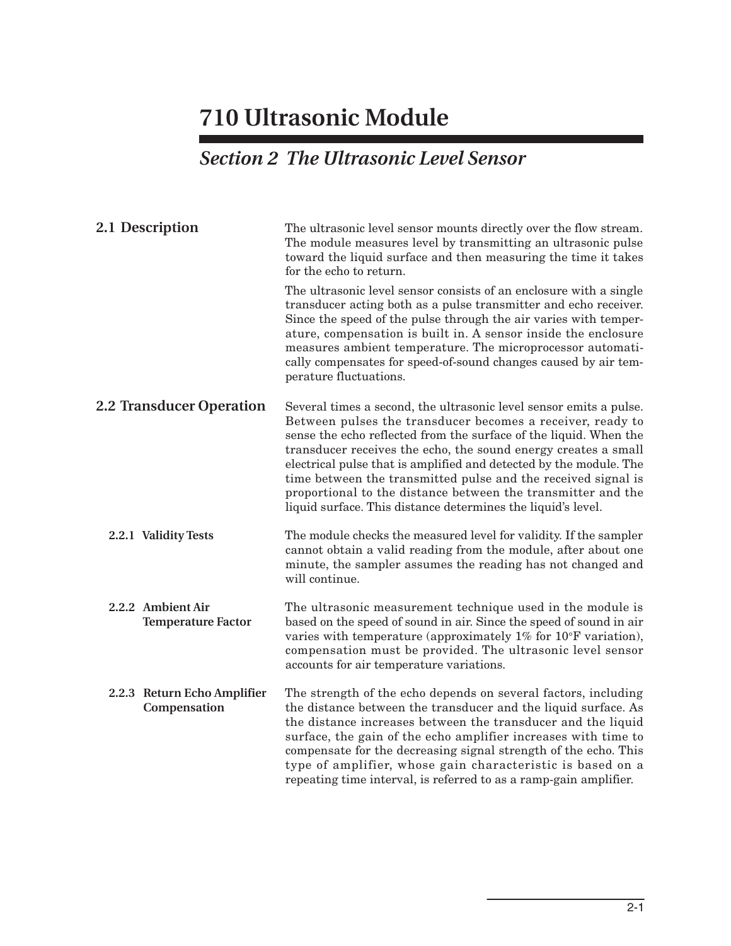## *Section 2 The Ultrasonic Level Sensor*

<span id="page-22-5"></span><span id="page-22-4"></span><span id="page-22-3"></span><span id="page-22-2"></span><span id="page-22-1"></span><span id="page-22-0"></span>

| 2.1 Description                                | The ultrasonic level sensor mounts directly over the flow stream.<br>The module measures level by transmitting an ultrasonic pulse<br>toward the liquid surface and then measuring the time it takes<br>for the echo to return.                                                                                                                                                                                                                                                                                                                |  |
|------------------------------------------------|------------------------------------------------------------------------------------------------------------------------------------------------------------------------------------------------------------------------------------------------------------------------------------------------------------------------------------------------------------------------------------------------------------------------------------------------------------------------------------------------------------------------------------------------|--|
|                                                | The ultrasonic level sensor consists of an enclosure with a single<br>transducer acting both as a pulse transmitter and echo receiver.<br>Since the speed of the pulse through the air varies with temper-<br>ature, compensation is built in. A sensor inside the enclosure<br>measures ambient temperature. The microprocessor automati-<br>cally compensates for speed-of-sound changes caused by air tem-<br>perature fluctuations.                                                                                                        |  |
| <b>2.2 Transducer Operation</b>                | Several times a second, the ultrasonic level sensor emits a pulse.<br>Between pulses the transducer becomes a receiver, ready to<br>sense the echo reflected from the surface of the liquid. When the<br>transducer receives the echo, the sound energy creates a small<br>electrical pulse that is amplified and detected by the module. The<br>time between the transmitted pulse and the received signal is<br>proportional to the distance between the transmitter and the<br>liquid surface. This distance determines the liquid's level. |  |
| 2.2.1 Validity Tests                           | The module checks the measured level for validity. If the sampler<br>cannot obtain a valid reading from the module, after about one<br>minute, the sampler assumes the reading has not changed and<br>will continue.                                                                                                                                                                                                                                                                                                                           |  |
| 2.2.2 Ambient Air<br><b>Temperature Factor</b> | The ultrasonic measurement technique used in the module is<br>based on the speed of sound in air. Since the speed of sound in air<br>varies with temperature (approximately $1\%$ for $10^{\circ}$ F variation),<br>compensation must be provided. The ultrasonic level sensor<br>accounts for air temperature variations.                                                                                                                                                                                                                     |  |
| 2.2.3 Return Echo Amplifier<br>Compensation    | The strength of the echo depends on several factors, including<br>the distance between the transducer and the liquid surface. As<br>the distance increases between the transducer and the liquid<br>surface, the gain of the echo amplifier increases with time to<br>compensate for the decreasing signal strength of the echo. This<br>type of amplifier, whose gain characteristic is based on a<br>repeating time interval, is referred to as a ramp-gain amplifier.                                                                       |  |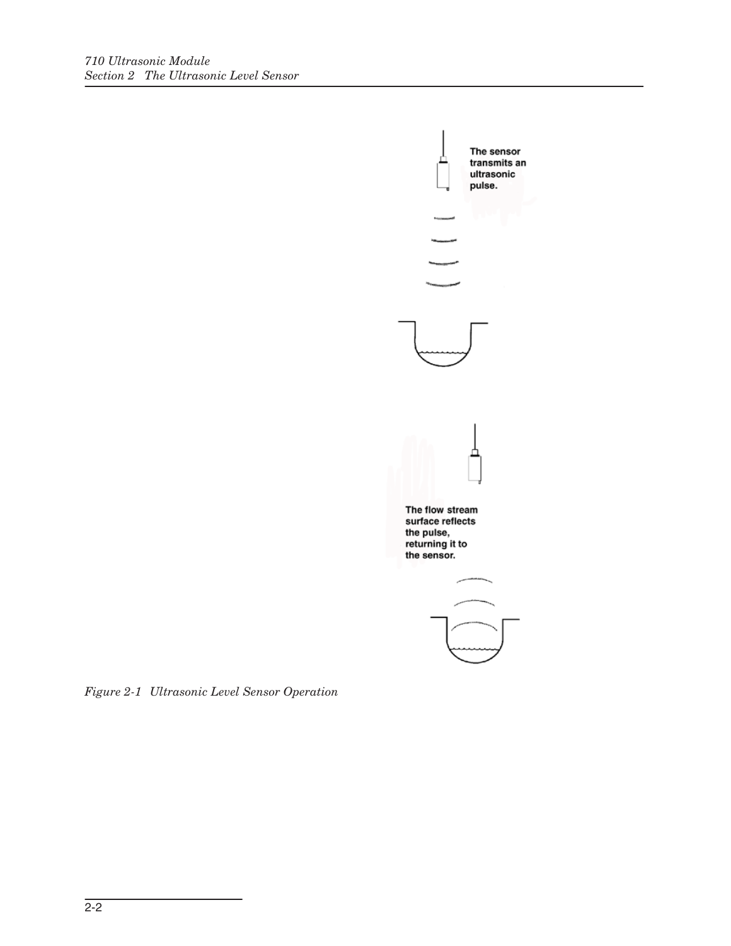

<span id="page-23-0"></span>*Figure 2-1 Ultrasonic Level Sensor Operation*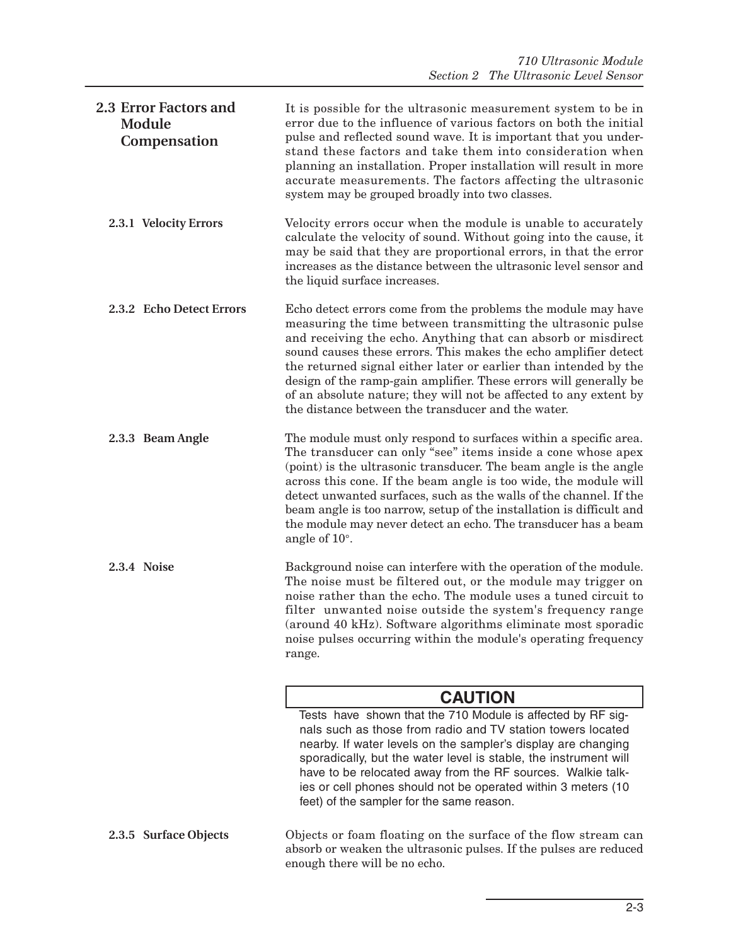<span id="page-24-5"></span><span id="page-24-4"></span><span id="page-24-3"></span><span id="page-24-2"></span><span id="page-24-1"></span><span id="page-24-0"></span>

| <b>2.3 Error Factors and</b><br>Module<br>Compensation | It is possible for the ultrasonic measurement system to be in<br>error due to the influence of various factors on both the initial<br>pulse and reflected sound wave. It is important that you under-<br>stand these factors and take them into consideration when<br>planning an installation. Proper installation will result in more<br>accurate measurements. The factors affecting the ultrasonic<br>system may be grouped broadly into two classes.                                                                             |
|--------------------------------------------------------|---------------------------------------------------------------------------------------------------------------------------------------------------------------------------------------------------------------------------------------------------------------------------------------------------------------------------------------------------------------------------------------------------------------------------------------------------------------------------------------------------------------------------------------|
| 2.3.1 Velocity Errors                                  | Velocity errors occur when the module is unable to accurately<br>calculate the velocity of sound. Without going into the cause, it<br>may be said that they are proportional errors, in that the error<br>increases as the distance between the ultrasonic level sensor and<br>the liquid surface increases.                                                                                                                                                                                                                          |
| 2.3.2 Echo Detect Errors                               | Echo detect errors come from the problems the module may have<br>measuring the time between transmitting the ultrasonic pulse<br>and receiving the echo. Anything that can absorb or misdirect<br>sound causes these errors. This makes the echo amplifier detect<br>the returned signal either later or earlier than intended by the<br>design of the ramp-gain amplifier. These errors will generally be<br>of an absolute nature; they will not be affected to any extent by<br>the distance between the transducer and the water. |
| 2.3.3 Beam Angle                                       | The module must only respond to surfaces within a specific area.<br>The transducer can only "see" items inside a cone whose apex<br>(point) is the ultrasonic transducer. The beam angle is the angle<br>across this cone. If the beam angle is too wide, the module will<br>detect unwanted surfaces, such as the walls of the channel. If the<br>beam angle is too narrow, setup of the installation is difficult and<br>the module may never detect an echo. The transducer has a beam<br>angle of $10^\circ$ .                    |
| 2.3.4 Noise                                            | Background noise can interfere with the operation of the module.<br>The noise must be filtered out, or the module may trigger on<br>noise rather than the echo. The module uses a tuned circuit to<br>filter unwanted noise outside the system's frequency range<br>(around 40 kHz). Software algorithms eliminate most sporadic<br>noise pulses occurring within the module's operating frequency<br>range.                                                                                                                          |
|                                                        | <b>CAUTION</b>                                                                                                                                                                                                                                                                                                                                                                                                                                                                                                                        |
|                                                        | Tests have shown that the 710 Module is affected by RF sig-<br>nals such as those from radio and TV station towers located<br>nearby. If water levels on the sampler's display are changing<br>sporadically, but the water level is stable, the instrument will<br>have to be relocated away from the RF sources. Walkie talk-<br>ies or cell phones should not be operated within 3 meters (10<br>feet) of the sampler for the same reason.                                                                                          |
| 2.3.5 Surface Objects                                  | Objects or foam floating on the surface of the flow stream can<br>absorb or weaken the ultrasonic pulses. If the pulses are reduced<br>enough there will be no echo.                                                                                                                                                                                                                                                                                                                                                                  |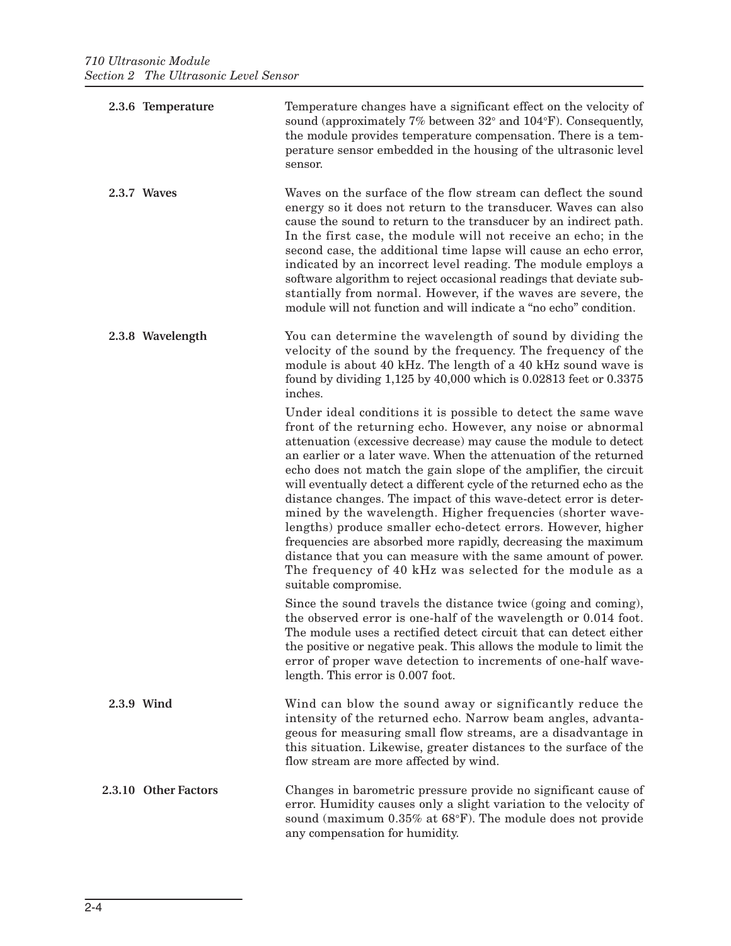<span id="page-25-4"></span><span id="page-25-3"></span><span id="page-25-2"></span><span id="page-25-1"></span><span id="page-25-0"></span>

| 2.3.6 Temperature    | Temperature changes have a significant effect on the velocity of<br>sound (approximately $7\%$ between $32^{\circ}$ and $104^{\circ}$ F). Consequently,<br>the module provides temperature compensation. There is a tem-<br>perature sensor embedded in the housing of the ultrasonic level<br>sensor.                                                                                                                                                                                                                                                                                                                                                                                                                                                                                                                                 |
|----------------------|----------------------------------------------------------------------------------------------------------------------------------------------------------------------------------------------------------------------------------------------------------------------------------------------------------------------------------------------------------------------------------------------------------------------------------------------------------------------------------------------------------------------------------------------------------------------------------------------------------------------------------------------------------------------------------------------------------------------------------------------------------------------------------------------------------------------------------------|
| 2.3.7 Waves          | Waves on the surface of the flow stream can deflect the sound<br>energy so it does not return to the transducer. Waves can also<br>cause the sound to return to the transducer by an indirect path.<br>In the first case, the module will not receive an echo; in the<br>second case, the additional time lapse will cause an echo error,<br>indicated by an incorrect level reading. The module employs a<br>software algorithm to reject occasional readings that deviate sub-<br>stantially from normal. However, if the waves are severe, the<br>module will not function and will indicate a "no echo" condition.                                                                                                                                                                                                                 |
| 2.3.8 Wavelength     | You can determine the wavelength of sound by dividing the<br>velocity of the sound by the frequency. The frequency of the<br>module is about 40 kHz. The length of a 40 kHz sound wave is<br>found by dividing $1,125$ by $40,000$ which is $0.02813$ feet or $0.3375$<br>inches.                                                                                                                                                                                                                                                                                                                                                                                                                                                                                                                                                      |
|                      | Under ideal conditions it is possible to detect the same wave<br>front of the returning echo. However, any noise or abnormal<br>attenuation (excessive decrease) may cause the module to detect<br>an earlier or a later wave. When the attenuation of the returned<br>echo does not match the gain slope of the amplifier, the circuit<br>will eventually detect a different cycle of the returned echo as the<br>distance changes. The impact of this wave-detect error is deter-<br>mined by the wavelength. Higher frequencies (shorter wave-<br>lengths) produce smaller echo-detect errors. However, higher<br>frequencies are absorbed more rapidly, decreasing the maximum<br>distance that you can measure with the same amount of power.<br>The frequency of 40 kHz was selected for the module as a<br>suitable compromise. |
|                      | Since the sound travels the distance twice (going and coming),<br>the observed error is one-half of the wavelength or 0.014 foot.<br>The module uses a rectified detect circuit that can detect either<br>the positive or negative peak. This allows the module to limit the<br>error of proper wave detection to increments of one-half wave-<br>length. This error is 0.007 foot.                                                                                                                                                                                                                                                                                                                                                                                                                                                    |
| 2.3.9 Wind           | Wind can blow the sound away or significantly reduce the<br>intensity of the returned echo. Narrow beam angles, advanta-<br>geous for measuring small flow streams, are a disadvantage in<br>this situation. Likewise, greater distances to the surface of the<br>flow stream are more affected by wind.                                                                                                                                                                                                                                                                                                                                                                                                                                                                                                                               |
| 2.3.10 Other Factors | Changes in barometric pressure provide no significant cause of<br>error. Humidity causes only a slight variation to the velocity of<br>sound (maximum 0.35% at 68°F). The module does not provide<br>any compensation for humidity.                                                                                                                                                                                                                                                                                                                                                                                                                                                                                                                                                                                                    |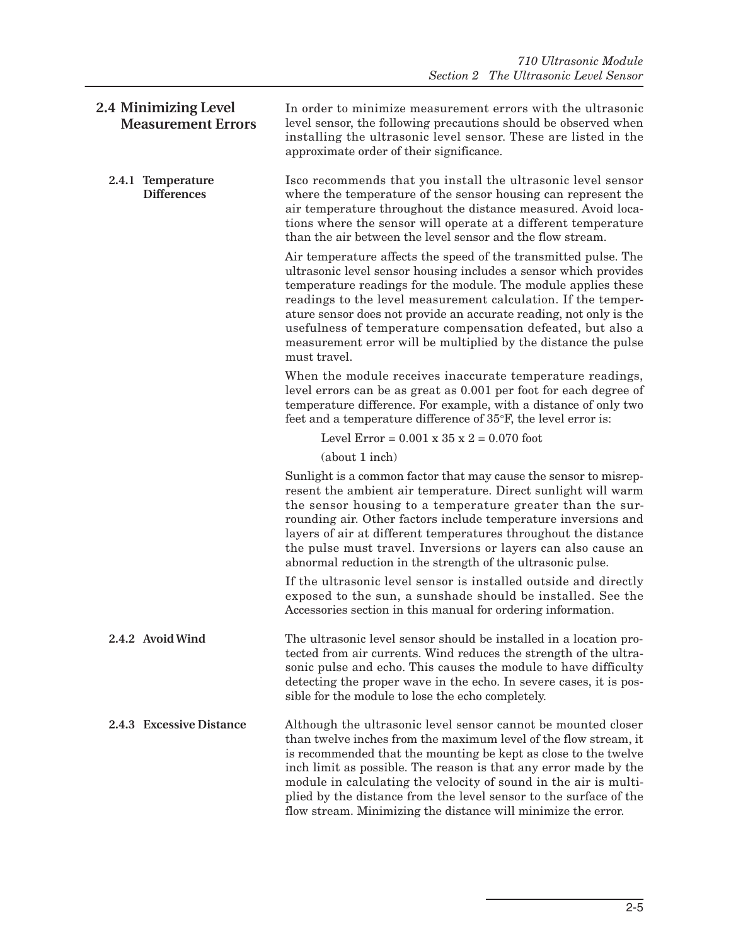<span id="page-26-3"></span><span id="page-26-2"></span><span id="page-26-1"></span><span id="page-26-0"></span>

| 2.4 Minimizing Level<br><b>Measurement Errors</b> | In order to minimize measurement errors with the ultrasonic<br>level sensor, the following precautions should be observed when<br>installing the ultrasonic level sensor. These are listed in the<br>approximate order of their significance.                                                                                                                                                                                                                                                |
|---------------------------------------------------|----------------------------------------------------------------------------------------------------------------------------------------------------------------------------------------------------------------------------------------------------------------------------------------------------------------------------------------------------------------------------------------------------------------------------------------------------------------------------------------------|
| 2.4.1 Temperature<br><b>Differences</b>           | Isco recommends that you install the ultrasonic level sensor<br>where the temperature of the sensor housing can represent the<br>air temperature throughout the distance measured. Avoid loca-<br>tions where the sensor will operate at a different temperature<br>than the air between the level sensor and the flow stream.                                                                                                                                                               |
|                                                   | Air temperature affects the speed of the transmitted pulse. The<br>ultrasonic level sensor housing includes a sensor which provides<br>temperature readings for the module. The module applies these<br>readings to the level measurement calculation. If the temper-<br>ature sensor does not provide an accurate reading, not only is the<br>usefulness of temperature compensation defeated, but also a<br>measurement error will be multiplied by the distance the pulse<br>must travel. |
|                                                   | When the module receives inaccurate temperature readings,<br>level errors can be as great as 0.001 per foot for each degree of<br>temperature difference. For example, with a distance of only two<br>feet and a temperature difference of 35°F, the level error is:                                                                                                                                                                                                                         |
|                                                   | Level Error = $0.001 \times 35 \times 2 = 0.070$ foot                                                                                                                                                                                                                                                                                                                                                                                                                                        |
|                                                   | (about 1 inch)                                                                                                                                                                                                                                                                                                                                                                                                                                                                               |
|                                                   | Sunlight is a common factor that may cause the sensor to misrep-<br>resent the ambient air temperature. Direct sunlight will warm<br>the sensor housing to a temperature greater than the sur-<br>rounding air. Other factors include temperature inversions and<br>layers of air at different temperatures throughout the distance<br>the pulse must travel. Inversions or layers can also cause an<br>abnormal reduction in the strength of the ultrasonic pulse.                          |
|                                                   | If the ultrasonic level sensor is installed outside and directly<br>exposed to the sun, a sunshade should be installed. See the<br>Accessories section in this manual for ordering information.                                                                                                                                                                                                                                                                                              |
| 2.4.2 Avoid Wind                                  | The ultrasonic level sensor should be installed in a location pro-<br>tected from air currents. Wind reduces the strength of the ultra-<br>sonic pulse and echo. This causes the module to have difficulty<br>detecting the proper wave in the echo. In severe cases, it is pos-<br>sible for the module to lose the echo completely.                                                                                                                                                        |
| 2.4.3 Excessive Distance                          | Although the ultrasonic level sensor cannot be mounted closer<br>than twelve inches from the maximum level of the flow stream, it<br>is recommended that the mounting be kept as close to the twelve<br>inch limit as possible. The reason is that any error made by the<br>module in calculating the velocity of sound in the air is multi-<br>plied by the distance from the level sensor to the surface of the<br>flow stream. Minimizing the distance will minimize the error.           |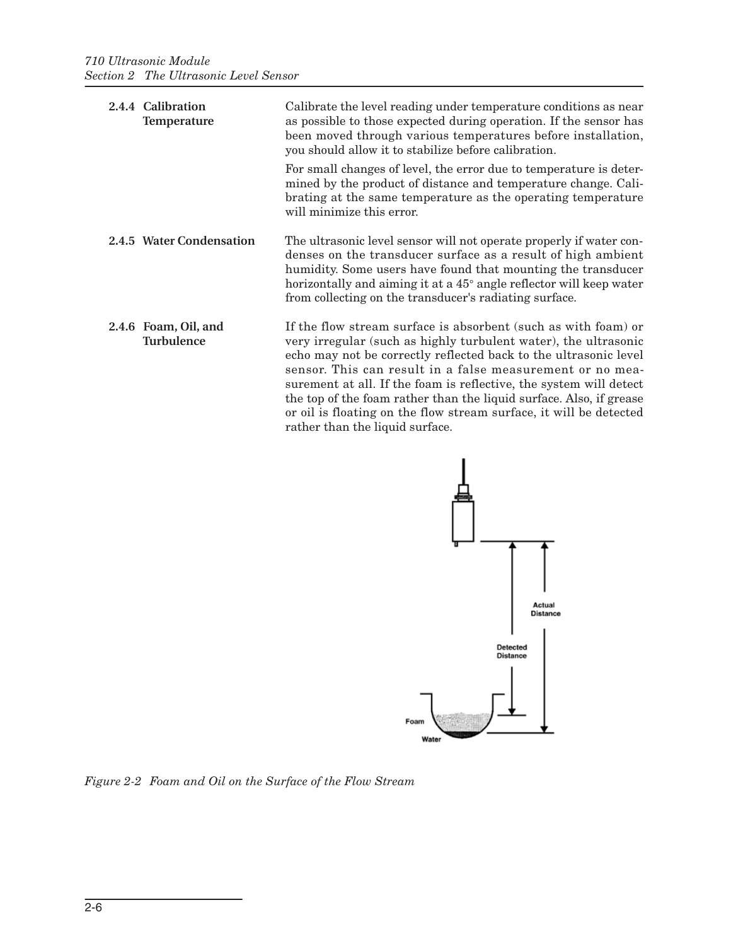<span id="page-27-2"></span><span id="page-27-1"></span><span id="page-27-0"></span>

| 2.4.4 Calibration<br>Temperature          | Calibrate the level reading under temperature conditions as near<br>as possible to those expected during operation. If the sensor has<br>been moved through various temperatures before installation,<br>you should allow it to stabilize before calibration.                                                                                                                                                                                                                                                            |  |
|-------------------------------------------|--------------------------------------------------------------------------------------------------------------------------------------------------------------------------------------------------------------------------------------------------------------------------------------------------------------------------------------------------------------------------------------------------------------------------------------------------------------------------------------------------------------------------|--|
|                                           | For small changes of level, the error due to temperature is deter-<br>mined by the product of distance and temperature change. Cali-<br>brating at the same temperature as the operating temperature<br>will minimize this error.                                                                                                                                                                                                                                                                                        |  |
| 2.4.5 Water Condensation                  | The ultrasonic level sensor will not operate properly if water con-<br>denses on the transducer surface as a result of high ambient<br>humidity. Some users have found that mounting the transducer<br>horizontally and aiming it at a 45 <sup>°</sup> angle reflector will keep water<br>from collecting on the transducer's radiating surface.                                                                                                                                                                         |  |
| 2.4.6 Foam, Oil, and<br><b>Turbulence</b> | If the flow stream surface is absorbent (such as with foam) or<br>very irregular (such as highly turbulent water), the ultrasonic<br>echo may not be correctly reflected back to the ultrasonic level<br>sensor. This can result in a false measurement or no mea-<br>surement at all. If the foam is reflective, the system will detect<br>the top of the foam rather than the liquid surface. Also, if grease<br>or oil is floating on the flow stream surface, it will be detected<br>rather than the liquid surface. |  |



<span id="page-27-3"></span>*Figure 2-2 Foam and Oil on the Surface of the Flow Stream*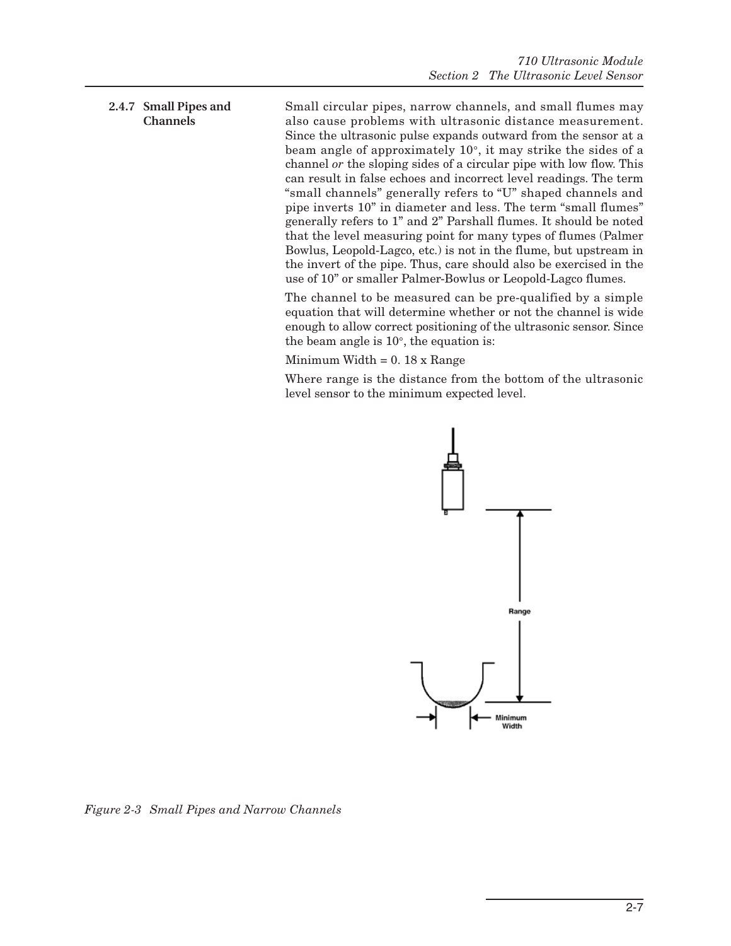### <span id="page-28-0"></span>**2.4.7 Small Pipes and Channels**

Small circular pipes, narrow channels, and small flumes may also cause problems with ultrasonic distance measurement. Since the ultrasonic pulse expands outward from the sensor at a beam angle of approximately 10°, it may strike the sides of a channel *or* the sloping sides of a circular pipe with low flow. This can result in false echoes and incorrect level readings. The term "small channels" generally refers to "U" shaped channels and pipe inverts 10" in diameter and less. The term "small flumes" generally refers to 1" and 2" Parshall flumes. It should be noted that the level measuring point for many types of flumes (Palmer Bowlus, Leopold-Lagco, etc.) is not in the flume, but upstream in the invert of the pipe. Thus, care should also be exercised in the use of 10" or smaller Palmer-Bowlus or Leopold-Lagco flumes.

The channel to be measured can be pre-qualified by a simple equation that will determine whether or not the channel is wide enough to allow correct positioning of the ultrasonic sensor. Since the beam angle is 10°, the equation is:

Minimum Width  $= 0.18$  x Range

Where range is the distance from the bottom of the ultrasonic level sensor to the minimum expected level.



<span id="page-28-1"></span>*Figure 2-3 Small Pipes and Narrow Channels*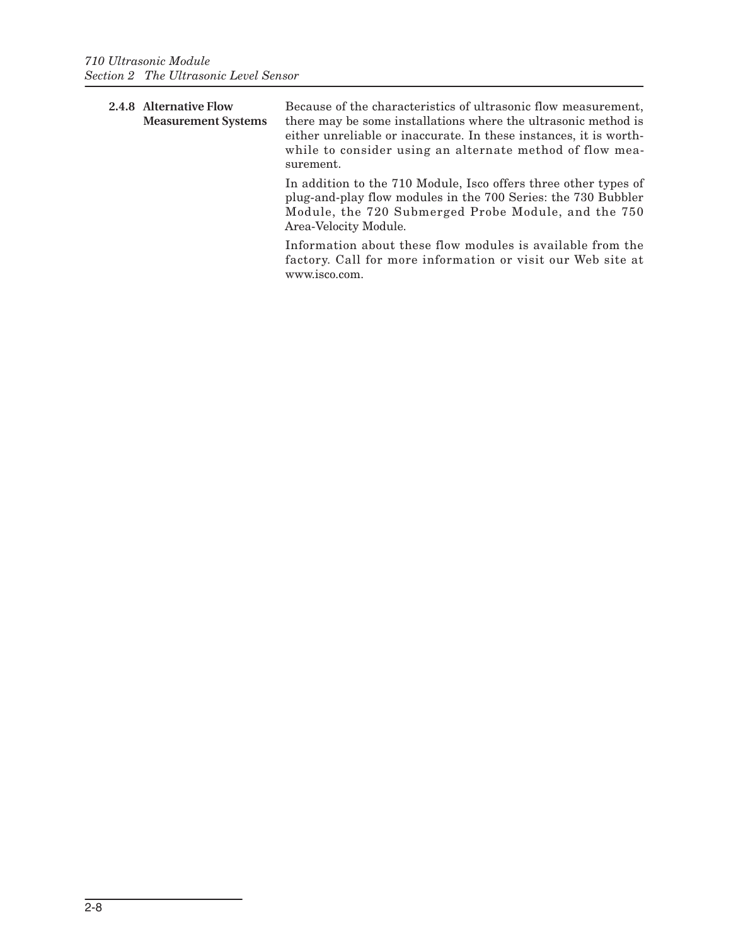<span id="page-29-0"></span>

|  | 2.4.8 Alternative Flow<br><b>Measurement Systems</b> | Because of the characteristics of ultrasonic flow measurement,<br>there may be some installations where the ultrasonic method is<br>either unreliable or inaccurate. In these instances, it is worth-<br>while to consider using an alternate method of flow mea-<br>surement. |
|--|------------------------------------------------------|--------------------------------------------------------------------------------------------------------------------------------------------------------------------------------------------------------------------------------------------------------------------------------|
|  |                                                      | In addition to the 710 Module, Isco offers three other types of<br>plug-and-play flow modules in the 700 Series: the 730 Bubbler<br>Module, the 720 Submerged Probe Module, and the 750<br>Area-Velocity Module.                                                               |

Information about these flow modules is available from the factory. Call for more information or visit our Web site at www.isco.com.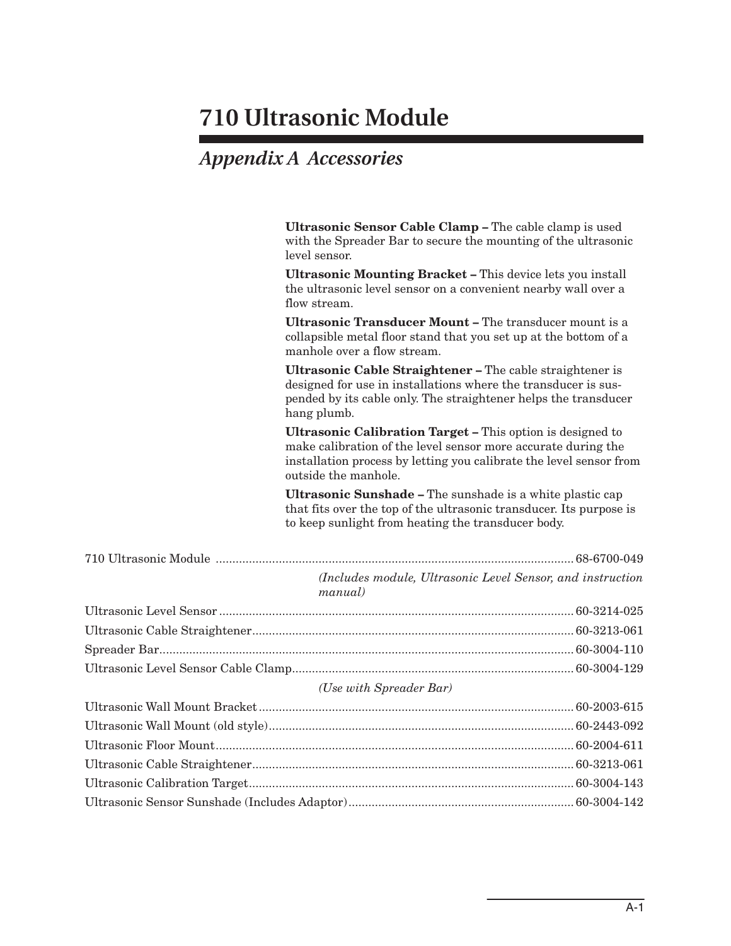## <span id="page-30-1"></span>*Appendix A Accessories*

<span id="page-30-0"></span>

| Ultrasonic Sensor Cable Clamp - The cable clamp is used<br>with the Spreader Bar to secure the mounting of the ultrasonic<br>level sensor.                                                                                 |
|----------------------------------------------------------------------------------------------------------------------------------------------------------------------------------------------------------------------------|
| Ultrasonic Mounting Bracket - This device lets you install<br>the ultrasonic level sensor on a convenient nearby wall over a<br>flow stream.                                                                               |
| Ultrasonic Transducer Mount - The transducer mount is a<br>collapsible metal floor stand that you set up at the bottom of a<br>manhole over a flow stream.                                                                 |
| Ultrasonic Cable Straightener - The cable straightener is<br>designed for use in installations where the transducer is sus-<br>pended by its cable only. The straightener helps the transducer<br>hang plumb.              |
| Ultrasonic Calibration Target - This option is designed to<br>make calibration of the level sensor more accurate during the<br>installation process by letting you calibrate the level sensor from<br>outside the manhole. |
| <b>Ultrasonic Sunshade - The sunshade is a white plastic cap</b><br>that fits over the top of the ultrasonic transducer. Its purpose is<br>to keep sunlight from heating the transducer body.                              |
|                                                                                                                                                                                                                            |
| (Includes module, Ultrasonic Level Sensor, and instruction<br>manual)                                                                                                                                                      |
|                                                                                                                                                                                                                            |
|                                                                                                                                                                                                                            |
|                                                                                                                                                                                                                            |
|                                                                                                                                                                                                                            |
| (Use with Spreader Bar)                                                                                                                                                                                                    |
|                                                                                                                                                                                                                            |
|                                                                                                                                                                                                                            |
|                                                                                                                                                                                                                            |
|                                                                                                                                                                                                                            |
|                                                                                                                                                                                                                            |
|                                                                                                                                                                                                                            |